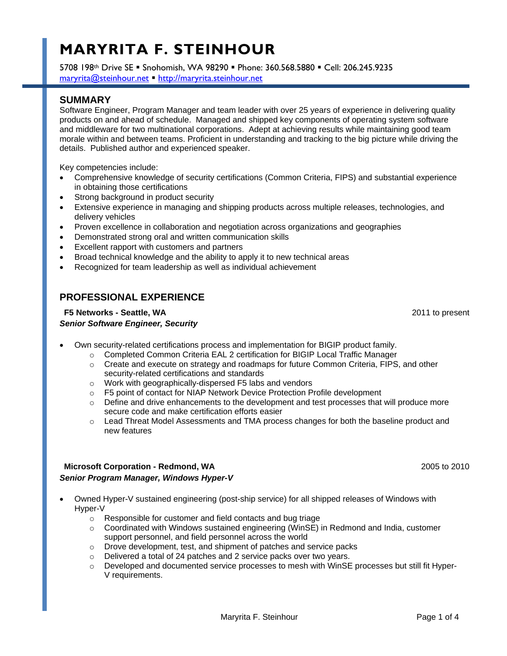# **MARYRITA F. STEINHOUR**

5708 198th Drive SE Snohomish, WA 98290 Phone: 360.568.5880 Cell: 206.245.9235 [maryrita@steinhour.net](mailto:maryrita@steinhour.net) [http://maryrita.steinhour.net](http://maryrita.steinhour.net/)

# **SUMMARY**

Software Engineer, Program Manager and team leader with over 25 years of experience in delivering quality products on and ahead of schedule. Managed and shipped key components of operating system software and middleware for two multinational corporations. Adept at achieving results while maintaining good team morale within and between teams. Proficient in understanding and tracking to the big picture while driving the details. Published author and experienced speaker.

Key competencies include:

- Comprehensive knowledge of security certifications (Common Criteria, FIPS) and substantial experience in obtaining those certifications
- Strong background in product security
- Extensive experience in managing and shipping products across multiple releases, technologies, and delivery vehicles
- Proven excellence in collaboration and negotiation across organizations and geographies
- Demonstrated strong oral and written communication skills
- Excellent rapport with customers and partners
- Broad technical knowledge and the ability to apply it to new technical areas
- Recognized for team leadership as well as individual achievement

# **PROFESSIONAL EXPERIENCE**

# **F5 Networks - Seattle, WA** 2011 to present *Senior Software Engineer, Security*

- Own security-related certifications process and implementation for BIGIP product family.
	- o Completed Common Criteria EAL 2 certification for BIGIP Local Traffic Manager
	- o Create and execute on strategy and roadmaps for future Common Criteria, FIPS, and other security-related certifications and standards
	- o Work with geographically-dispersed F5 labs and vendors
	- o F5 point of contact for NIAP Network Device Protection Profile development
	- $\circ$  Define and drive enhancements to the development and test processes that will produce more secure code and make certification efforts easier
	- o Lead Threat Model Assessments and TMA process changes for both the baseline product and new features

# **Microsoft Corporation - Redmond, WA** 2005 to 2010 *Senior Program Manager, Windows Hyper-V*

- Owned Hyper-V sustained engineering (post-ship service) for all shipped releases of Windows with Hyper-V
	- o Responsible for customer and field contacts and bug triage
	- o Coordinated with Windows sustained engineering (WinSE) in Redmond and India, customer support personnel, and field personnel across the world
	- o Drove development, test, and shipment of patches and service packs
	- o Delivered a total of 24 patches and 2 service packs over two years.
	- $\circ$  Developed and documented service processes to mesh with WinSE processes but still fit Hyper-V requirements.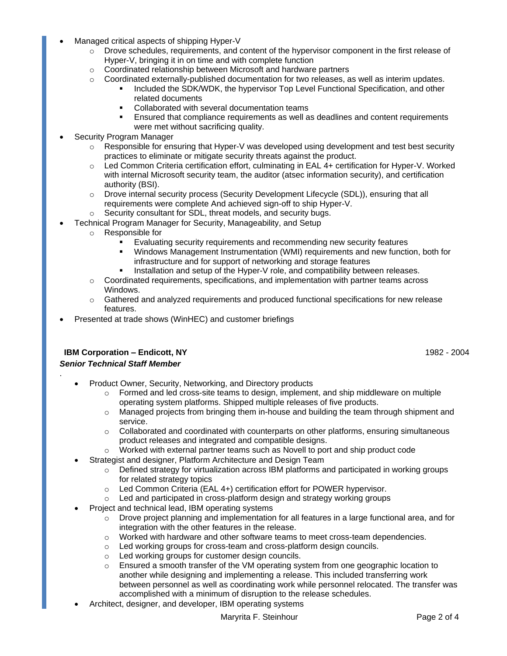- Managed critical aspects of shipping Hyper-V
	- o Drove schedules, requirements, and content of the hypervisor component in the first release of Hyper-V, bringing it in on time and with complete function
		- o Coordinated relationship between Microsoft and hardware partners
		- $\circ$  Coordinated externally-published documentation for two releases, as well as interim updates.
			- Included the SDK/WDK, the hypervisor Top Level Functional Specification, and other related documents
				- Collaborated with several documentation teams
			- Ensured that compliance requirements as well as deadlines and content requirements were met without sacrificing quality.
- Security Program Manager
	- $\circ$  Responsible for ensuring that Hyper-V was developed using development and test best security practices to eliminate or mitigate security threats against the product.
	- $\circ$  Led Common Criteria certification effort, culminating in EAL 4+ certification for Hyper-V. Worked with internal Microsoft security team, the auditor (atsec information security), and certification authority (BSI).
	- $\circ$  Drove internal security process (Security Development Lifecycle (SDL)), ensuring that all requirements were complete And achieved sign-off to ship Hyper-V.
	- o Security consultant for SDL, threat models, and security bugs.
- Technical Program Manager for Security, Manageability, and Setup
	- o Responsible for
		- Evaluating security requirements and recommending new security features
		- Windows Management Instrumentation (WMI) requirements and new function, both for infrastructure and for support of networking and storage features
		- Installation and setup of the Hyper-V role, and compatibility between releases.
	- $\circ$  Coordinated requirements, specifications, and implementation with partner teams across Windows.
	- o Gathered and analyzed requirements and produced functional specifications for new release features.
- Presented at trade shows (WinHEC) and customer briefings

# **IBM Corporation – Endicott, NY** 1982 - 2004

#### *Senior Technical Staff Member*

.

- Product Owner, Security, Networking, and Directory products
	- $\circ$  Formed and led cross-site teams to design, implement, and ship middleware on multiple operating system platforms. Shipped multiple releases of five products.
	- $\circ$  Managed projects from bringing them in-house and building the team through shipment and service.
	- $\circ$  Collaborated and coordinated with counterparts on other platforms, ensuring simultaneous product releases and integrated and compatible designs.
	- $\circ$  Worked with external partner teams such as Novell to port and ship product code
	- Strategist and designer, Platform Architecture and Design Team
		- $\circ$  Defined strategy for virtualization across IBM platforms and participated in working groups for related strategy topics
		- o Led Common Criteria (EAL 4+) certification effort for POWER hypervisor.
		- $\circ$  Led and participated in cross-platform design and strategy working groups
- Project and technical lead, IBM operating systems
	- $\circ$  Drove project planning and implementation for all features in a large functional area, and for integration with the other features in the release.
	- o Worked with hardware and other software teams to meet cross-team dependencies.
	- o Led working groups for cross-team and cross-platform design councils.
	- o Led working groups for customer design councils.
	- $\circ$  Ensured a smooth transfer of the VM operating system from one geographic location to another while designing and implementing a release. This included transferring work between personnel as well as coordinating work while personnel relocated. The transfer was accomplished with a minimum of disruption to the release schedules.
- Architect, designer, and developer, IBM operating systems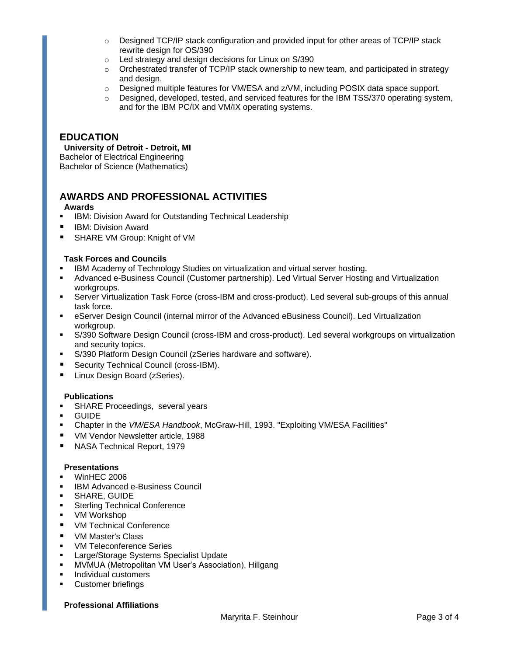- o Designed TCP/IP stack configuration and provided input for other areas of TCP/IP stack rewrite design for OS/390
- o Led strategy and design decisions for Linux on S/390
- $\circ$  Orchestrated transfer of TCP/IP stack ownership to new team, and participated in strategy and design.
- o Designed multiple features for VM/ESA and z/VM, including POSIX data space support.
- $\circ$  Designed, developed, tested, and serviced features for the IBM TSS/370 operating system, and for the IBM PC/IX and VM/IX operating systems.

# **EDUCATION**

#### **University of Detroit - Detroit, MI** Bachelor of Electrical Engineering

Bachelor of Science (Mathematics)

# **AWARDS AND PROFESSIONAL ACTIVITIES**

# **Awards**

- IBM: Division Award for Outstanding Technical Leadership
- **IBM: Division Award**
- SHARE VM Group: Knight of VM

### **Task Forces and Councils**

- IBM Academy of Technology Studies on virtualization and virtual server hosting.
- Advanced e-Business Council (Customer partnership). Led Virtual Server Hosting and Virtualization workgroups.
- Server Virtualization Task Force (cross-IBM and cross-product). Led several sub-groups of this annual task force.
- eServer Design Council (internal mirror of the Advanced eBusiness Council). Led Virtualization workgroup.
- S/390 Software Design Council (cross-IBM and cross-product). Led several workgroups on virtualization and security topics.
- S/390 Platform Design Council (zSeries hardware and software).
- **Security Technical Council (cross-IBM).**
- **Linux Design Board (zSeries).**

# **Publications**

- **SHARE Proceedings, several years**
- GUIDE
- Chapter in the *VM/ESA Handbook*, McGraw-Hill, 1993. "Exploiting VM/ESA Facilities"
- **VM Vendor Newsletter article, 1988**
- NASA Technical Report, 1979

#### **Presentations**

- WinHEC 2006
- IBM Advanced e-Business Council
- SHARE, GUIDE
- **Sterling Technical Conference**
- VM Workshop
- VM Technical Conference
- **UM Master's Class**
- **WW Teleconference Series**
- Large/Storage Systems Specialist Update
- MVMUA (Metropolitan VM User's Association), Hillgang
- **Individual customers**
- Customer briefings

#### **Professional Affiliations**